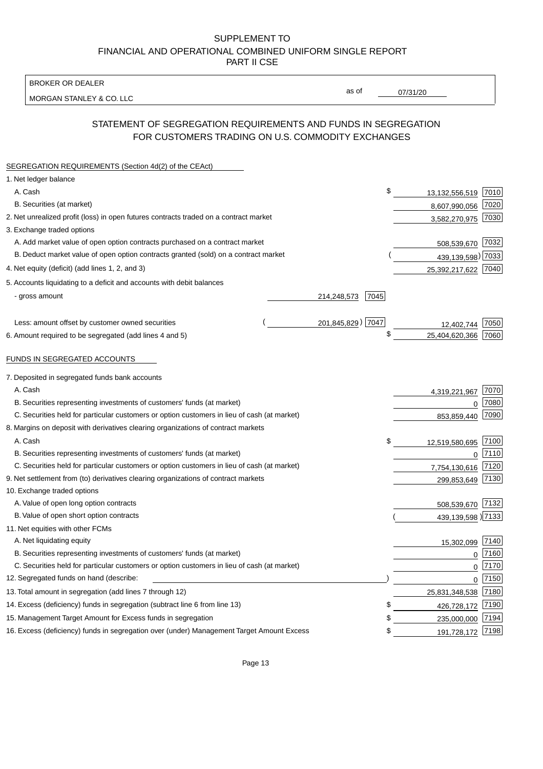BROKER OR DEALER

MORGAN STANLEY & CO. LLC

07/31/20

as of

# STATEMENT OF SEGREGATION REQUIREMENTS AND FUNDS IN SEGREGATION FOR CUSTOMERS TRADING ON U.S. COMMODITY EXCHANGES

| SEGREGATION REQUIREMENTS (Section 4d(2) of the CEAct)                                       |                     |                     |          |
|---------------------------------------------------------------------------------------------|---------------------|---------------------|----------|
| 1. Net ledger balance                                                                       |                     |                     |          |
| A. Cash                                                                                     | \$                  | 13,132,556,519 7010 |          |
| B. Securities (at market)                                                                   |                     | 8,607,990,056 7020  |          |
| 2. Net unrealized profit (loss) in open futures contracts traded on a contract market       |                     | 3,582,270,975 7030  |          |
| 3. Exchange traded options                                                                  |                     |                     |          |
| A. Add market value of open option contracts purchased on a contract market                 |                     | 508,539,670 7032    |          |
| B. Deduct market value of open option contracts granted (sold) on a contract market         |                     | 439,139,598) 7033   |          |
| 4. Net equity (deficit) (add lines 1, 2, and 3)                                             |                     | 25,392,217,622 7040 |          |
| 5. Accounts liquidating to a deficit and accounts with debit balances                       |                     |                     |          |
| - gross amount                                                                              | 7045<br>214,248,573 |                     |          |
|                                                                                             |                     |                     |          |
| Less: amount offset by customer owned securities                                            | 201,845,829) 7047   | 12,402,744          | 7050     |
| 6. Amount required to be segregated (add lines 4 and 5)                                     | \$                  | 25,404,620,366      | 7060     |
|                                                                                             |                     |                     |          |
| FUNDS IN SEGREGATED ACCOUNTS                                                                |                     |                     |          |
| 7. Deposited in segregated funds bank accounts                                              |                     |                     |          |
| A. Cash                                                                                     |                     | 4,319,221,967       | 7070     |
| B. Securities representing investments of customers' funds (at market)                      |                     | 0                   | 7080     |
| C. Securities held for particular customers or option customers in lieu of cash (at market) |                     | 853,859,440         | 7090     |
| 8. Margins on deposit with derivatives clearing organizations of contract markets           |                     |                     |          |
| A. Cash                                                                                     | \$                  | 12,519,580,695      | 7100     |
| B. Securities representing investments of customers' funds (at market)                      |                     | 0                   | 7110     |
| C. Securities held for particular customers or option customers in lieu of cash (at market) |                     | 7,754,130,616       | 7120     |
| 9. Net settlement from (to) derivatives clearing organizations of contract markets          |                     | 299,853,649         | 7130     |
| 10. Exchange traded options                                                                 |                     |                     |          |
| A. Value of open long option contracts                                                      |                     | 508,539,670 7132    |          |
| B. Value of open short option contracts                                                     |                     | 439,139,598 7133    |          |
| 11. Net equities with other FCMs                                                            |                     |                     |          |
| A. Net liquidating equity                                                                   |                     | 15,302,099 7140     |          |
| B. Securities representing investments of customers' funds (at market)                      |                     |                     | $0$ 7160 |
| C. Securities held for particular customers or option customers in lieu of cash (at market) |                     | $\mathsf 0$         | 7170     |
| 12. Segregated funds on hand (describe:                                                     |                     |                     | $0$ 7150 |
| 13. Total amount in segregation (add lines 7 through 12)                                    |                     | 25,831,348,538 7180 |          |
| 14. Excess (deficiency) funds in segregation (subtract line 6 from line 13)                 | \$                  | 426,728,172         | 7190     |
| 15. Management Target Amount for Excess funds in segregation                                | \$                  | 235,000,000 7194    |          |
| 16. Excess (deficiency) funds in segregation over (under) Management Target Amount Excess   | \$                  | 191,728,172 7198    |          |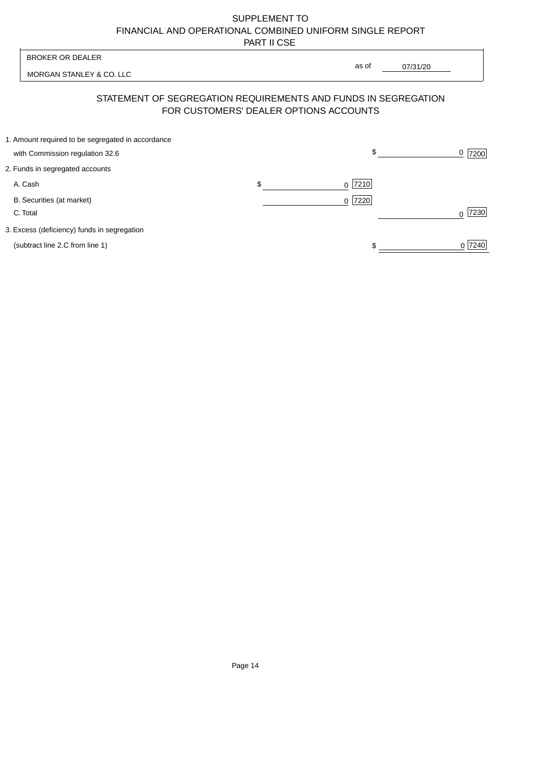$0$  7240

 $\begin{array}{c}\n\circ \\
\hline\n\end{array}$ 

| <b>BROKER OR DEALER</b>                           |                                                                                                          |                        |          |      |
|---------------------------------------------------|----------------------------------------------------------------------------------------------------------|------------------------|----------|------|
| MORGAN STANLEY & CO. LLC                          |                                                                                                          | as of                  | 07/31/20 |      |
|                                                   | STATEMENT OF SEGREGATION REQUIREMENTS AND FUNDS IN SEGREGATION<br>FOR CUSTOMERS' DEALER OPTIONS ACCOUNTS |                        |          |      |
| 1. Amount required to be segregated in accordance |                                                                                                          |                        |          |      |
| with Commission regulation 32.6                   |                                                                                                          | \$                     |          | 7200 |
| 2. Funds in segregated accounts                   |                                                                                                          |                        |          |      |
| A. Cash                                           | \$                                                                                                       | $0$  7210              |          |      |
| B. Securities (at market)                         |                                                                                                          | 7220<br>$\overline{0}$ |          |      |
| C. Total                                          |                                                                                                          |                        |          | 7230 |
|                                                   |                                                                                                          |                        |          |      |

3. Excess (deficiency) funds in segregation

(subtract line 2.C from line 1)

Page 14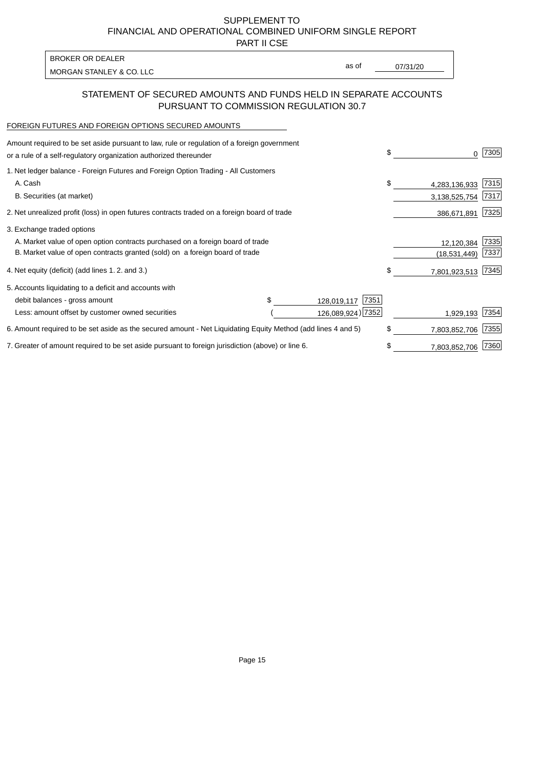PART II CSE

MORGAN STANLEY & CO. LLC and the contract of the contract of the contract of the contract of the contract of the contract of the contract of the contract of the contract of the contract of the contract of the contract of t BROKER OR DEALER

as of

### STATEMENT OF SECURED AMOUNTS AND FUNDS HELD IN SEPARATE ACCOUNTS PURSUANT TO COMMISSION REGULATION 30.7

#### FOREIGN FUTURES AND FOREIGN OPTIONS SECURED AMOUNTS

| Amount required to be set aside pursuant to law, rule or regulation of a foreign government<br>or a rule of a self-regulatory organization authorized thereunder |  |                     | \$            | O.            | 7305 |
|------------------------------------------------------------------------------------------------------------------------------------------------------------------|--|---------------------|---------------|---------------|------|
| 1. Net ledger balance - Foreign Futures and Foreign Option Trading - All Customers                                                                               |  |                     |               |               |      |
| A. Cash                                                                                                                                                          |  |                     | \$            | 4,283,136,933 | 7315 |
| B. Securities (at market)                                                                                                                                        |  |                     |               | 3,138,525,754 | 7317 |
| 2. Net unrealized profit (loss) in open futures contracts traded on a foreign board of trade                                                                     |  |                     |               | 386,671,891   | 7325 |
| 3. Exchange traded options                                                                                                                                       |  |                     |               |               |      |
| A. Market value of open option contracts purchased on a foreign board of trade                                                                                   |  |                     |               | 12,120,384    | 7335 |
| B. Market value of open contracts granted (sold) on a foreign board of trade                                                                                     |  |                     |               | (18,531,449)  | 7337 |
| 4. Net equity (deficit) (add lines 1.2. and 3.)                                                                                                                  |  |                     | \$            | 7,801,923,513 | 7345 |
| 5. Accounts liquidating to a deficit and accounts with                                                                                                           |  |                     |               |               |      |
| debit balances - gross amount                                                                                                                                    |  | 7351<br>128,019,117 |               |               |      |
| Less: amount offset by customer owned securities                                                                                                                 |  | 126,089,924) 7352   |               | 1,929,193     | 7354 |
| 6. Amount required to be set aside as the secured amount - Net Liquidating Equity Method (add lines 4 and 5)                                                     |  |                     | \$            | 7,803,852,706 | 7355 |
| 7. Greater of amount required to be set aside pursuant to foreign jurisdiction (above) or line 6.                                                                |  | \$                  | 7,803,852,706 | 7360          |      |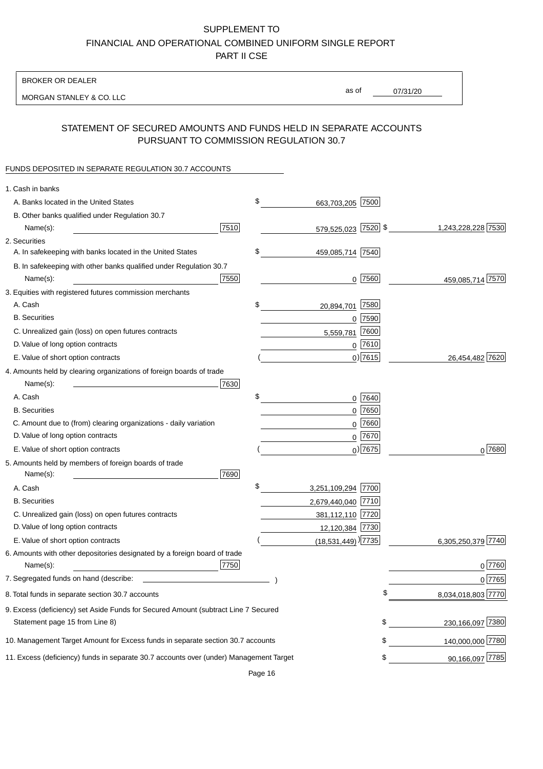BROKER OR DEALER

MORGAN STANLEY & CO. LLC

07/31/20 as of

# STATEMENT OF SECURED AMOUNTS AND FUNDS HELD IN SEPARATE ACCOUNTS PURSUANT TO COMMISSION REGULATION 30.7

#### FUNDS DEPOSITED IN SEPARATE REGULATION 30.7 ACCOUNTS

| 1. Cash in banks                                                                       |      |                                  |           |                    |
|----------------------------------------------------------------------------------------|------|----------------------------------|-----------|--------------------|
| A. Banks located in the United States                                                  | \$   | 663,703,205 7500                 |           |                    |
| B. Other banks qualified under Regulation 30.7                                         |      |                                  |           |                    |
| Name(s):                                                                               | 7510 | 579,525,023 7520 \$              |           | 1,243,228,228 7530 |
| 2. Securities                                                                          |      |                                  |           |                    |
| A. In safekeeping with banks located in the United States                              | \$   | 459,085,714 7540                 |           |                    |
| B. In safekeeping with other banks qualified under Regulation 30.7                     |      |                                  |           |                    |
| Name(s):                                                                               | 7550 |                                  | $0$ 7560  | 459,085,714 7570   |
| 3. Equities with registered futures commission merchants                               |      |                                  |           |                    |
| A. Cash                                                                                | \$   | 20,894,701                       | 7580      |                    |
| <b>B.</b> Securities                                                                   |      |                                  | $0$ 7590  |                    |
| C. Unrealized gain (loss) on open futures contracts                                    |      | 5,559,781                        | 7600      |                    |
| D. Value of long option contracts                                                      |      |                                  | $0$ 7610  |                    |
| E. Value of short option contracts                                                     |      |                                  | $0)$ 7615 | 26,454,482 7620    |
| 4. Amounts held by clearing organizations of foreign boards of trade                   |      |                                  |           |                    |
| Name(s):                                                                               | 7630 |                                  |           |                    |
| A. Cash                                                                                | \$   |                                  | 0 7640    |                    |
| <b>B.</b> Securities                                                                   |      |                                  | $0$ 7650  |                    |
| C. Amount due to (from) clearing organizations - daily variation                       |      | 0                                | 7660      |                    |
| D. Value of long option contracts                                                      |      |                                  | 0 7670    |                    |
| E. Value of short option contracts                                                     |      |                                  | $0)$ 7675 | 0 7680             |
| 5. Amounts held by members of foreign boards of trade                                  |      |                                  |           |                    |
| Name(s):                                                                               | 7690 |                                  |           |                    |
| A. Cash                                                                                | \$   | 3,251,109,294 7700               |           |                    |
| <b>B.</b> Securities                                                                   |      | 2,679,440,040 7710               |           |                    |
| C. Unrealized gain (loss) on open futures contracts                                    |      | 381,112,110 7720                 |           |                    |
| D. Value of long option contracts                                                      |      | 12,120,384 7730                  |           |                    |
| E. Value of short option contracts                                                     |      | $(18,531,449)$ <sup>1</sup> 7735 |           | 6,305,250,379 7740 |
| 6. Amounts with other depositories designated by a foreign board of trade              |      |                                  |           |                    |
| Name(s):                                                                               | 7750 |                                  |           | 0 7760             |
| 7. Segregated funds on hand (describe:                                                 |      |                                  |           | 0 7765             |
| 8. Total funds in separate section 30.7 accounts                                       |      |                                  |           | 8,034,018,803 7770 |
| 9. Excess (deficiency) set Aside Funds for Secured Amount (subtract Line 7 Secured     |      |                                  |           |                    |
| Statement page 15 from Line 8)                                                         |      |                                  | \$        | 230,166,097 7380   |
| 10. Management Target Amount for Excess funds in separate section 30.7 accounts        |      |                                  | \$        | 140,000,000 7780   |
| 11. Excess (deficiency) funds in separate 30.7 accounts over (under) Management Target |      |                                  | \$        | 90,166,097 7785    |
|                                                                                        |      |                                  |           |                    |